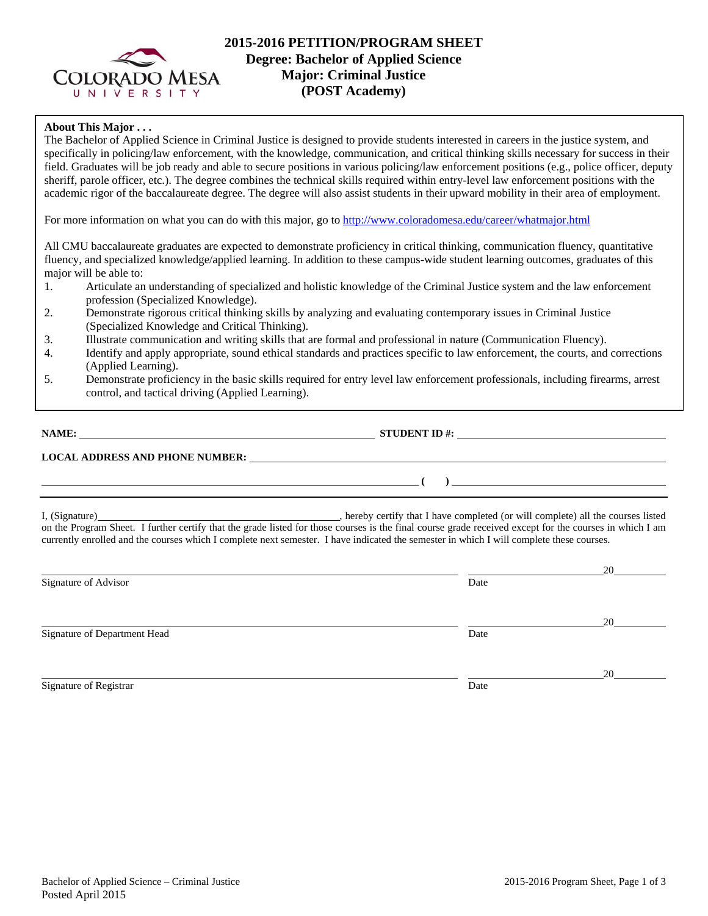

# **2015-2016 PETITION/PROGRAM SHEET Degree: Bachelor of Applied Science Major: Criminal Justice (POST Academy)**

## **About This Major . . .**

The Bachelor of Applied Science in Criminal Justice is designed to provide students interested in careers in the justice system, and specifically in policing/law enforcement, with the knowledge, communication, and critical thinking skills necessary for success in their field. Graduates will be job ready and able to secure positions in various policing/law enforcement positions (e.g., police officer, deputy sheriff, parole officer, etc.). The degree combines the technical skills required within entry-level law enforcement positions with the academic rigor of the baccalaureate degree. The degree will also assist students in their upward mobility in their area of employment.

For more information on what you can do with this major, go to http://www.coloradomesa.edu/career/whatmajor.html

All CMU baccalaureate graduates are expected to demonstrate proficiency in critical thinking, communication fluency, quantitative fluency, and specialized knowledge/applied learning. In addition to these campus-wide student learning outcomes, graduates of this major will be able to:

- 1. Articulate an understanding of specialized and holistic knowledge of the Criminal Justice system and the law enforcement profession (Specialized Knowledge).
- 2. Demonstrate rigorous critical thinking skills by analyzing and evaluating contemporary issues in Criminal Justice (Specialized Knowledge and Critical Thinking).
- 3. Illustrate communication and writing skills that are formal and professional in nature (Communication Fluency).
- 4. Identify and apply appropriate, sound ethical standards and practices specific to law enforcement, the courts, and corrections (Applied Learning).
- 5. Demonstrate proficiency in the basic skills required for entry level law enforcement professionals, including firearms, arrest control, and tactical driving (Applied Learning).

| NAME:                                  | <b>STUDENT ID #:</b> |
|----------------------------------------|----------------------|
| <b>LOCAL ADDRESS AND PHONE NUMBER:</b> |                      |
|                                        |                      |

I, (Signature) , hereby certify that I have completed (or will complete) all the courses listed on the Program Sheet. I further certify that the grade listed for those courses is the final course grade received except for the courses in which I am currently enrolled and the courses which I complete next semester. I have indicated the semester in which I will complete these courses.

|                              |      | 20 |
|------------------------------|------|----|
| Signature of Advisor         | Date |    |
|                              |      | 20 |
| Signature of Department Head | Date |    |
|                              |      | 20 |
| Signature of Registrar       | Date |    |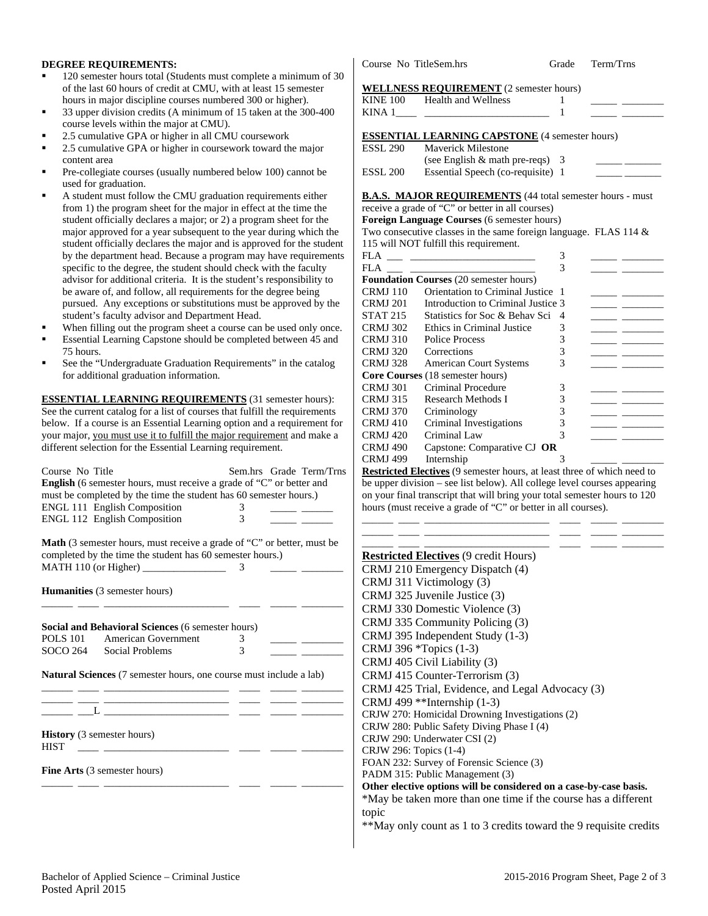### **DEGREE REQUIREMENTS:**

- 120 semester hours total (Students must complete a minimum of 30 of the last 60 hours of credit at CMU, with at least 15 semester hours in major discipline courses numbered 300 or higher).
- 33 upper division credits (A minimum of 15 taken at the 300-400 course levels within the major at CMU).
- 2.5 cumulative GPA or higher in all CMU coursework
- 2.5 cumulative GPA or higher in coursework toward the major content area
- Pre-collegiate courses (usually numbered below 100) cannot be used for graduation.
- A student must follow the CMU graduation requirements either from 1) the program sheet for the major in effect at the time the student officially declares a major; or 2) a program sheet for the major approved for a year subsequent to the year during which the student officially declares the major and is approved for the student by the department head. Because a program may have requirements specific to the degree, the student should check with the faculty advisor for additional criteria. It is the student's responsibility to be aware of, and follow, all requirements for the degree being pursued. Any exceptions or substitutions must be approved by the student's faculty advisor and Department Head.
- When filling out the program sheet a course can be used only once.
- Essential Learning Capstone should be completed between 45 and 75 hours.
- See the "Undergraduate Graduation Requirements" in the catalog for additional graduation information.

**ESSENTIAL LEARNING REQUIREMENTS** (31 semester hours): See the current catalog for a list of courses that fulfill the requirements below. If a course is an Essential Learning option and a requirement for your major, you must use it to fulfill the major requirement and make a different selection for the Essential Learning requirement.

| Course No Title<br>Sem.hrs Grade Term/Trns<br><b>English</b> (6 semester hours, must receive a grade of "C" or better and<br>must be completed by the time the student has 60 semester hours.)<br><b>ENGL 111 English Composition</b><br>3<br>ENGL 112 English Composition<br>3 | Restricted Electives (9 semester hours, at least three of which need to<br>be upper division - see list below). All college level courses appearing<br>on your final transcript that will bring your total semester hours to 120<br>hours (must receive a grade of "C" or better in all courses). |
|---------------------------------------------------------------------------------------------------------------------------------------------------------------------------------------------------------------------------------------------------------------------------------|---------------------------------------------------------------------------------------------------------------------------------------------------------------------------------------------------------------------------------------------------------------------------------------------------|
| <b>Math</b> (3 semester hours, must receive a grade of "C" or better, must be                                                                                                                                                                                                   |                                                                                                                                                                                                                                                                                                   |
| completed by the time the student has 60 semester hours.)                                                                                                                                                                                                                       | <b>Restricted Electives</b> (9 credit Hours)                                                                                                                                                                                                                                                      |
|                                                                                                                                                                                                                                                                                 | CRMJ 210 Emergency Dispatch (4)                                                                                                                                                                                                                                                                   |
|                                                                                                                                                                                                                                                                                 | CRMJ 311 Victimology (3)                                                                                                                                                                                                                                                                          |
| Humanities (3 semester hours)                                                                                                                                                                                                                                                   | CRMJ 325 Juvenile Justice (3)                                                                                                                                                                                                                                                                     |
|                                                                                                                                                                                                                                                                                 | CRMJ 330 Domestic Violence (3)                                                                                                                                                                                                                                                                    |
| Social and Behavioral Sciences (6 semester hours)                                                                                                                                                                                                                               | CRMJ 335 Community Policing (3)                                                                                                                                                                                                                                                                   |
| <b>POLS</b> 101<br><b>American Government</b><br>3                                                                                                                                                                                                                              | CRMJ 395 Independent Study (1-3)                                                                                                                                                                                                                                                                  |
| 3<br><b>Social Problems</b><br>SOCO 264                                                                                                                                                                                                                                         | CRMJ 396 *Topics (1-3)                                                                                                                                                                                                                                                                            |
|                                                                                                                                                                                                                                                                                 | CRMJ 405 Civil Liability (3)                                                                                                                                                                                                                                                                      |
| Natural Sciences (7 semester hours, one course must include a lab)                                                                                                                                                                                                              | CRMJ 415 Counter-Terrorism (3)                                                                                                                                                                                                                                                                    |
|                                                                                                                                                                                                                                                                                 | CRMJ 425 Trial, Evidence, and Legal Advocacy (3)                                                                                                                                                                                                                                                  |
|                                                                                                                                                                                                                                                                                 | CRMJ 499 $*$ <sup>*</sup> Internship $(1-3)$                                                                                                                                                                                                                                                      |
|                                                                                                                                                                                                                                                                                 | CRJW 270: Homicidal Drowning Investigations (2)                                                                                                                                                                                                                                                   |
|                                                                                                                                                                                                                                                                                 | CRJW 280: Public Safety Diving Phase I (4)                                                                                                                                                                                                                                                        |
| <b>History</b> (3 semester hours)                                                                                                                                                                                                                                               | CRJW 290: Underwater CSI (2)                                                                                                                                                                                                                                                                      |
| <b>HIST</b>                                                                                                                                                                                                                                                                     | CRJW 296: Topics (1-4)                                                                                                                                                                                                                                                                            |
|                                                                                                                                                                                                                                                                                 | FOAN 232: Survey of Forensic Science (3)                                                                                                                                                                                                                                                          |
| Fine Arts (3 semester hours)                                                                                                                                                                                                                                                    | PADM 315: Public Management (3)                                                                                                                                                                                                                                                                   |
|                                                                                                                                                                                                                                                                                 | Other elective options will be considered on a case-by-case basis.                                                                                                                                                                                                                                |
|                                                                                                                                                                                                                                                                                 | *May be taken more than one time if the course has a different                                                                                                                                                                                                                                    |
|                                                                                                                                                                                                                                                                                 | topic                                                                                                                                                                                                                                                                                             |

Course No TitleSem.hrs Grade Term/Trns

#### **WELLNESS REQUIREMENT** (2 semester hours)

| KINE 100 Health and Wellness                                                                                                                                                                                                                                                                                       | the control of the control of the control of |  |
|--------------------------------------------------------------------------------------------------------------------------------------------------------------------------------------------------------------------------------------------------------------------------------------------------------------------|----------------------------------------------|--|
| <b>ESSENTIAL LEARNING CAPSTONE</b> (4 semester hours)                                                                                                                                                                                                                                                              |                                              |  |
| ESSL 290 Maverick Milestone                                                                                                                                                                                                                                                                                        |                                              |  |
| $\sqrt{2}$ $\sqrt{2}$ $\sqrt{1}$ $\sqrt{2}$ $\sqrt{2}$ $\sqrt{2}$ $\sqrt{2}$ $\sqrt{2}$ $\sqrt{2}$ $\sqrt{2}$ $\sqrt{2}$ $\sqrt{2}$ $\sqrt{2}$ $\sqrt{2}$ $\sqrt{2}$ $\sqrt{2}$ $\sqrt{2}$ $\sqrt{2}$ $\sqrt{2}$ $\sqrt{2}$ $\sqrt{2}$ $\sqrt{2}$ $\sqrt{2}$ $\sqrt{2}$ $\sqrt{2}$ $\sqrt{2}$ $\sqrt{2}$ $\sqrt{2$ |                                              |  |

|          | (see English $&$ math pre-reqs) 3 |  |
|----------|-----------------------------------|--|
| ESSL 200 | Essential Speech (co-requisite) 1 |  |

### **B.A.S. MAJOR REQUIREMENTS** (44 total semester hours - must

receive a grade of "C" or better in all courses)

**Foreign Language Courses** (6 semester hours)

Two consecutive classes in the same foreign language. FLAS 114 & 115 will NOT fulfill this requirement.

| FLA             |                                               | 3 |  |  |
|-----------------|-----------------------------------------------|---|--|--|
| <b>FLA</b>      |                                               | 3 |  |  |
|                 | <b>Foundation Courses</b> (20 semester hours) |   |  |  |
| <b>CRMJ</b> 110 | Orientation to Criminal Justice 1             |   |  |  |
| <b>CRMJ 201</b> | Introduction to Criminal Justice 3            |   |  |  |
| <b>STAT 215</b> | Statistics for Soc & Behav Sci                | 4 |  |  |
| <b>CRMJ 302</b> | Ethics in Criminal Justice                    | 3 |  |  |
| <b>CRMJ 310</b> | Police Process                                | 3 |  |  |
| <b>CRMJ 320</b> | Corrections                                   | 3 |  |  |
| <b>CRMJ328</b>  | <b>American Court Systems</b>                 | 3 |  |  |
|                 | <b>Core Courses</b> (18 semester hours)       |   |  |  |
| <b>CRMJ 301</b> | Criminal Procedure                            | 3 |  |  |
| <b>CRMJ 315</b> | Research Methods I                            | 3 |  |  |
| <b>CRMJ 370</b> | Criminology                                   | 3 |  |  |
| <b>CRMJ</b> 410 | Criminal Investigations                       | 3 |  |  |
| <b>CRMJ</b> 420 | Criminal Law                                  | 3 |  |  |
| CRMJ 490        | Capstone: Comparative CJ $OR$                 |   |  |  |
| <b>CRMJ 499</b> | Internship                                    |   |  |  |

| <b>Restricted Electives</b> (9 credit Hours)                       |
|--------------------------------------------------------------------|
| CRMJ 210 Emergency Dispatch (4)                                    |
| CRMJ 311 Victimology (3)                                           |
| CRMJ 325 Juvenile Justice (3)                                      |
| CRMJ 330 Domestic Violence (3)                                     |
| CRMJ 335 Community Policing (3)                                    |
| CRMJ 395 Independent Study (1-3)                                   |
| CRMJ 396 *Topics (1-3)                                             |
| CRMJ 405 Civil Liability (3)                                       |
| CRMJ 415 Counter-Terrorism (3)                                     |
| CRMJ 425 Trial, Evidence, and Legal Advocacy (3)                   |
| CRMJ 499 $*$ <sup>*</sup> Internship $(1-3)$                       |
| CRJW 270: Homicidal Drowning Investigations (2)                    |
| CRJW 280: Public Safety Diving Phase I (4)                         |
| CRJW 290: Underwater CSI (2)                                       |
| CRJW 296: Topics (1-4)                                             |
| FOAN 232: Survey of Forensic Science (3)                           |
| PADM 315: Public Management (3)                                    |
| Other elective options will be considered on a case-by-case basis. |
| *May be taken more than one time if the course has a different     |
| topic                                                              |
| **May only count as 1 to 3 credits toward the 9 requisite credits  |